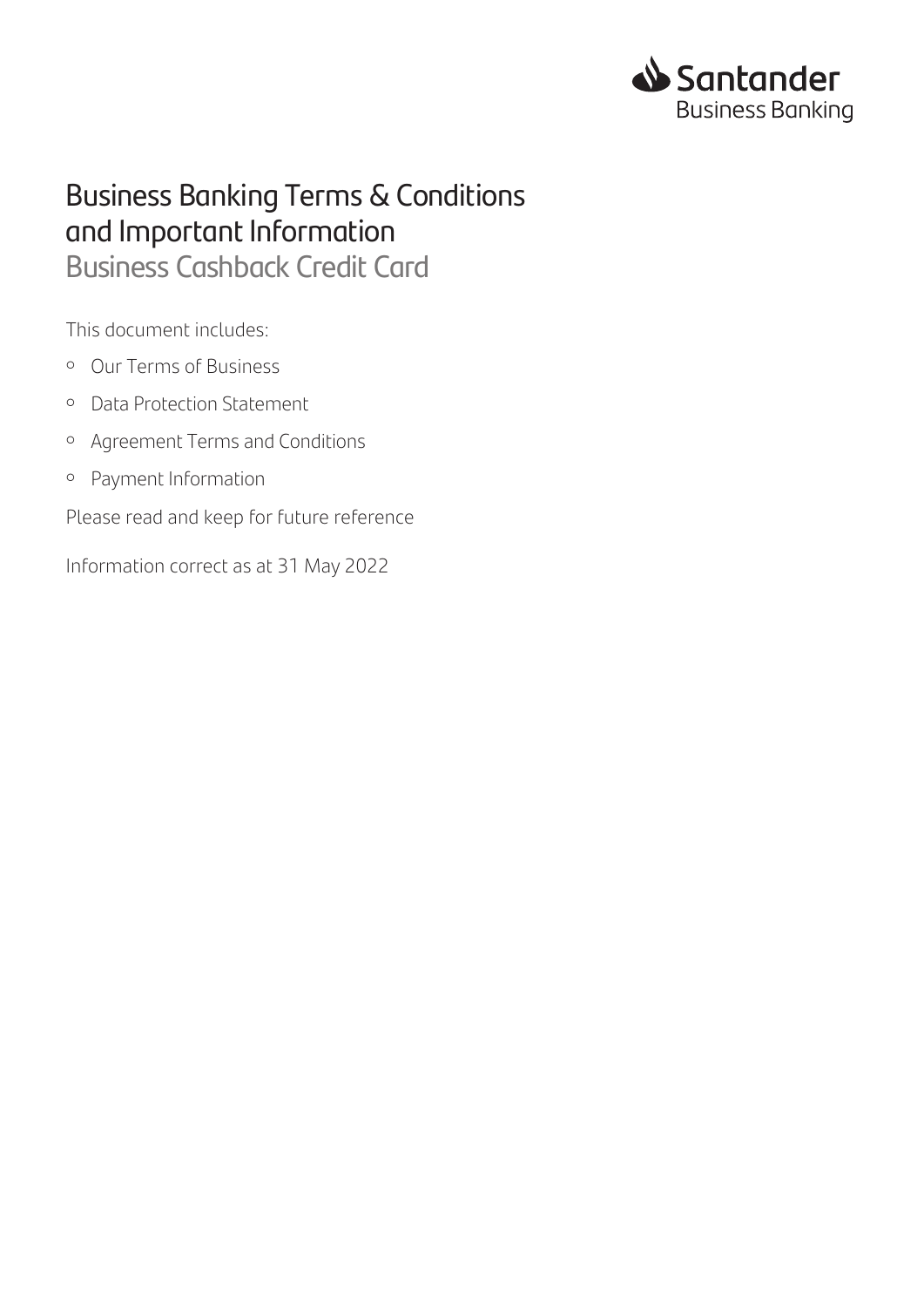

# Business Banking Terms & Conditions and Important Information

Business Cashback Credit Card

This document includes:

- Our Terms of Business
- Data Protection Statement
- Agreement Terms and Conditions
- Payment Information

Please read and keep for future reference

Information correct as at 31 May 2022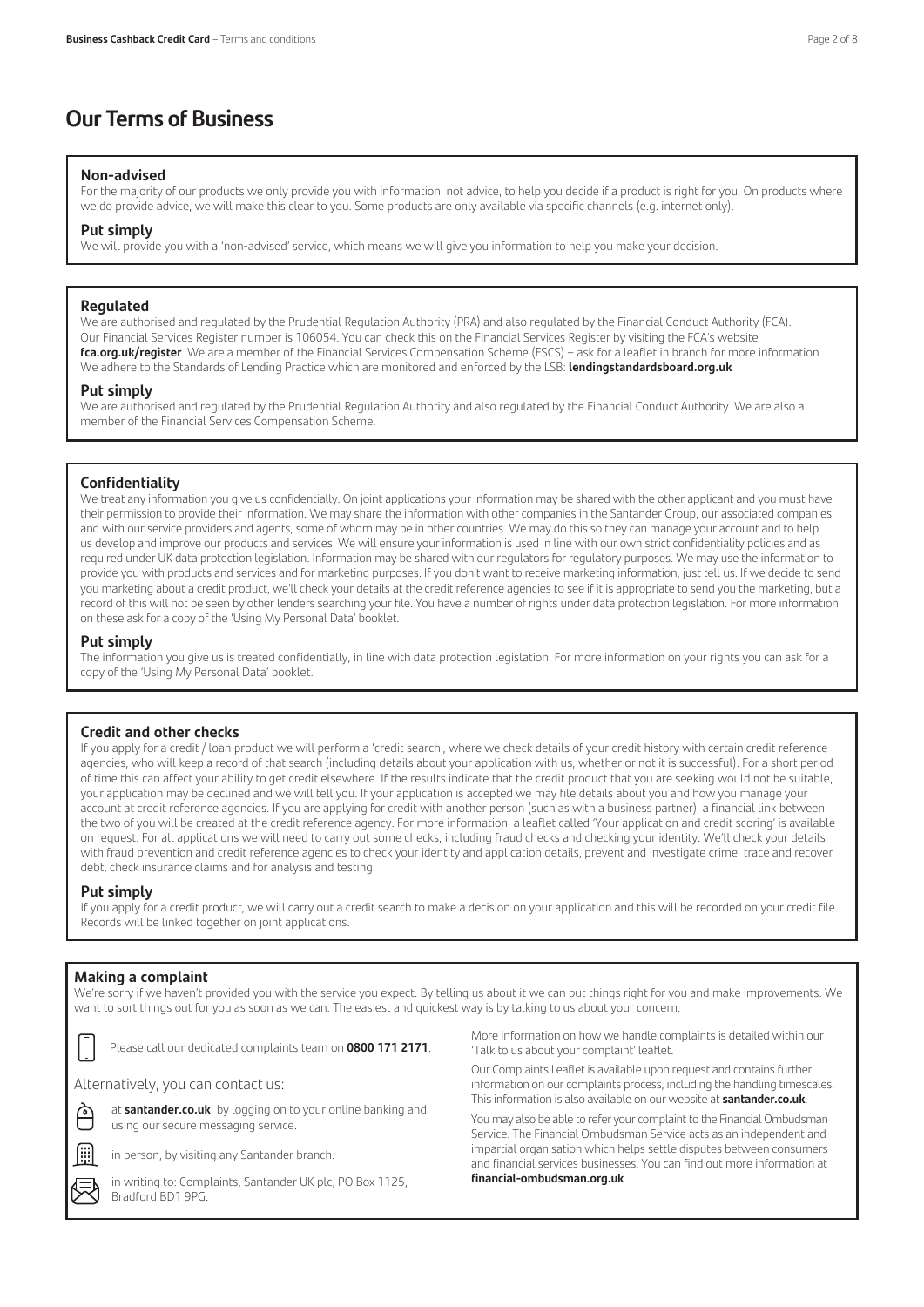### **Our Terms of Business**

### **Non-advised**

For the majority of our products we only provide you with information, not advice, to help you decide if a product is right for you. On products where we do provide advice, we will make this clear to you. Some products are only available via specific channels (e.g. internet only).

### **Put simply**

We will provide you with a 'non-advised' service, which means we will give you information to help you make your decision.

### **Regulated**

We are authorised and regulated by the Prudential Regulation Authority (PRA) and also regulated by the Financial Conduct Authority (FCA). Our Financial Services Register number is 106054. You can check this on the Financial Services Register by visiting the FCA's website **fca.org.uk/register**. We are a member of the Financial Services Compensation Scheme (FSCS) – ask for a leaflet in branch for more information. We adhere to the Standards of Lending Practice which are monitored and enforced by the LSB: **lendingstandardsboard.org.uk**

### **Put simply**

We are authorised and regulated by the Prudential Regulation Authority and also regulated by the Financial Conduct Authority. We are also a member of the Financial Services Compensation Scheme.

### **Confidentiality**

We treat any information you give us confidentially. On joint applications your information may be shared with the other applicant and you must have their permission to provide their information. We may share the information with other companies in the Santander Group, our associated companies and with our service providers and agents, some of whom may be in other countries. We may do this so they can manage your account and to help us develop and improve our products and services. We will ensure your information is used in line with our own strict confidentiality policies and as required under UK data protection legislation. Information may be shared with our regulators for regulatory purposes. We may use the information to provide you with products and services and for marketing purposes. If you don't want to receive marketing information, just tell us. If we decide to send you marketing about a credit product, we'll check your details at the credit reference agencies to see if it is appropriate to send you the marketing, but a record of this will not be seen by other lenders searching your file. You have a number of rights under data protection legislation. For more information on these ask for a copy of the 'Using My Personal Data' booklet.

### **Put simply**

The information you give us is treated confidentially, in line with data protection legislation. For more information on your rights you can ask for a copy of the 'Using My Personal Data' booklet.

### **Credit and other checks**

If you apply for a credit / loan product we will perform a 'credit search', where we check details of your credit history with certain credit reference agencies, who will keep a record of that search (including details about your application with us, whether or not it is successful). For a short period of time this can affect your ability to get credit elsewhere. If the results indicate that the credit product that you are seeking would not be suitable, your application may be declined and we will tell you. If your application is accepted we may file details about you and how you manage your account at credit reference agencies. If you are applying for credit with another person (such as with a business partner), a financial link between the two of you will be created at the credit reference agency. For more information, a leaflet called 'Your application and credit scoring' is available on request. For all applications we will need to carry out some checks, including fraud checks and checking your identity. We'll check your details with fraud prevention and credit reference agencies to check your identity and application details, prevent and investigate crime, trace and recover debt, check insurance claims and for analysis and testing.

### **Put simply**

If you apply for a credit product, we will carry out a credit search to make a decision on your application and this will be recorded on your credit file. Records will be linked together on joint applications.

### **Making a complaint**

We're sorry if we haven't provided you with the service you expect. By telling us about it we can put things right for you and make improvements. We want to sort things out for you as soon as we can. The easiest and quickest way is by talking to us about your concern.



Please call our dedicated complaints team on **0800 171 2171**.

at **santander.co.uk**, by logging on to your online banking and

Alternatively, you can contact us:



using our secure messaging service.

in person, by visiting any Santander branch.

in writing to: Complaints, Santander UK plc, PO Box 1125, Bradford BD1 9PG.

More information on how we handle complaints is detailed within our 'Talk to us about your complaint' leaflet.

Our Complaints Leaflet is available upon request and contains further information on our complaints process, including the handling timescales. This information is also available on our website at **santander.co.uk**.

You may also be able to refer your complaint to the Financial Ombudsman Service. The Financial Ombudsman Service acts as an independent and impartial organisation which helps settle disputes between consumers and financial services businesses. You can find out more information at **financial-ombudsman.org.uk**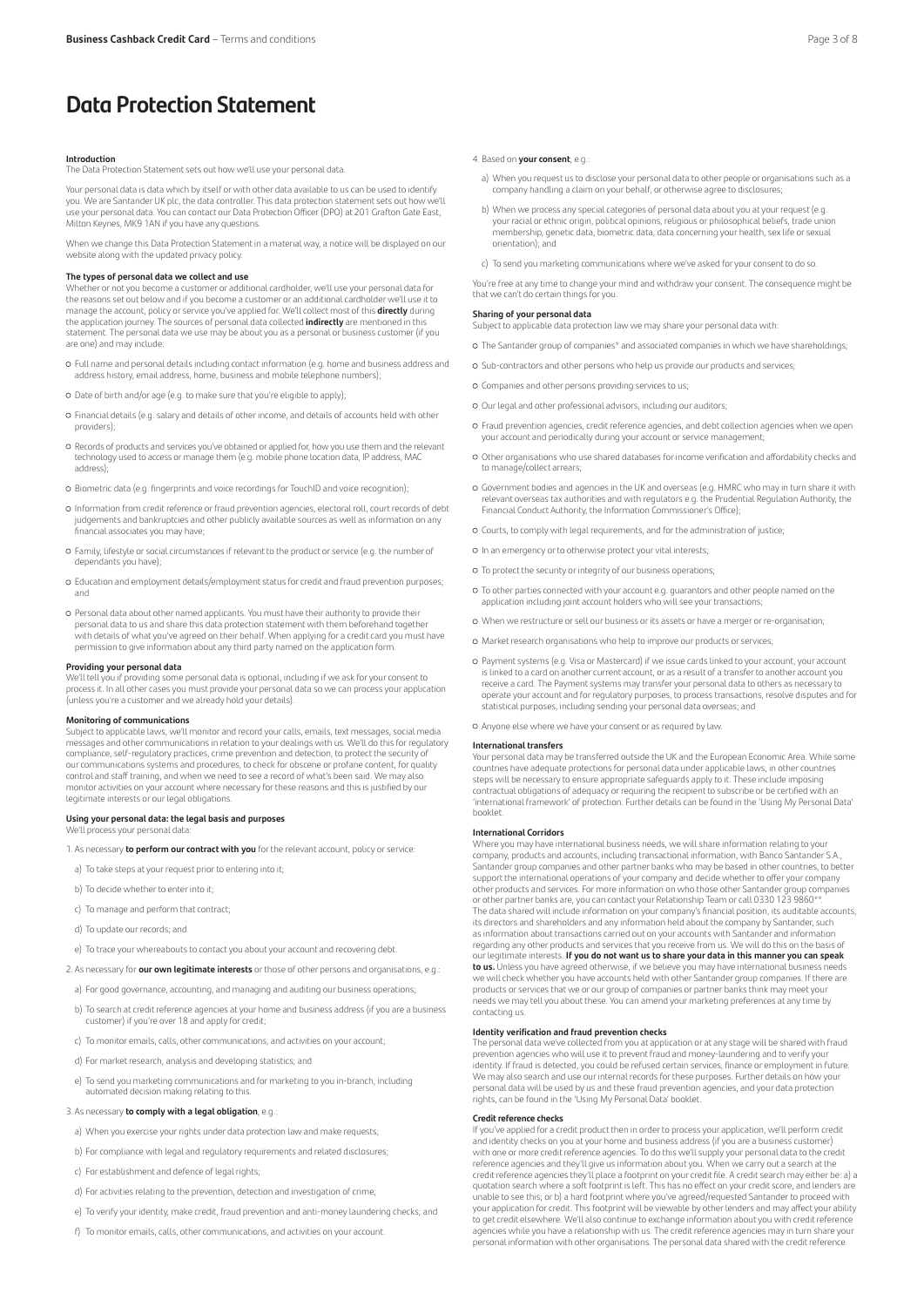### **Introduction**

The Data Protection Statement sets out how we'll use your personal data.

Your personal data is data which by itself or with other data available to us can be used to identify you. We are Santander UK plc, the data controller. This data protection statement sets out how we'll use your personal data. You can contact our Data Protection Officer (DPO) at 201 Grafton Gate East, Milton Keynes, MK9 1AN if you have any questions.

When we change this Data Protection Statement in a material way, a notice will be displayed on our website along with the updated privacy policy.

**The types of personal data we collect and use**<br>Whether or not you become a customer or additional cardholder, we'll use your personal data for the reasons set out below and if you become a customer or an additional cardholder we'll use it to<br>manage the account, policy or service you've applied for. We'll collect most of this **directly** during<br>the application jour statement. The personal data we use may be about you as a personal or business customer (if you are one) and may include:

- Full name and personal details including contact information (e.g. home and business address and address history, email address, home, business and mobile telephone numbers);
- Date of birth and/or age (e.g. to make sure that you're eligible to apply);
- Financial details (e.g. salary and details of other income, and details of accounts held with other providers);
- Records of products and services you've obtained or applied for, how you use them and the relevant technology used to access or manage them (e.g. mobile phone location data, IP address, MAC address);
- Biometric data (e.g. fingerprints and voice recordings for TouchID and voice recognition);
- Information from credit reference or fraud prevention agencies, electoral roll, court records of debt judgements and bankruptcies and other publicly available sources as well as information on any financial associates you may have;
- Family, lifestyle or social circumstances if relevant to the product or service (e.g. the number of dependants you have);
- Education and employment details/employment status for credit and fraud prevention purposes; and
- Personal data about other named applicants. You must have their authority to provide their personal data to us and share this data protection statement with them beforehand together with details of what you've agreed on their behalf. When applying for a credit card you must have permission to give information about any third party named on the application form.

### **Providing your personal data**

We'll tell you if providing some personal data is optional, including if we ask for your consent to process it. In all other cases you must provide your personal data so we can process your application (unless you're a customer and we already hold your details).

### **Monitoring of communications**

Subject to applicable laws, we'll monitor and record your calls, emails, text messages, social media messages and other communications in relation to your dealings with us. We'll do this for regulatory compliance, self-regulatory practices, crime prevention and detection, to protect the security of our communications systems and procedures, to check for obscene or profane content, for quality control and staff training, and when we need to see a record of what's been said. We may also monitor activities on your account where necessary for these reasons and this is justified by our legitimate interests or our legal obligations.

### **Using your personal data: the legal basis and purposes** We'll process your personal data

1. As necessary **to perform our contract with you** for the relevant account, policy or service:

- a) To take steps at your request prior to entering into it;
- b) To decide whether to enter into it;
- c) To manage and perform that contract;
- d) To update our records; and
- e) To trace your whereabouts to contact you about your account and recovering debt.
- 2. As necessary for **our own legitimate interests** or those of other persons and organisations, e.g.:
	- a) For good governance, accounting, and managing and auditing our business operations;
	- b) To search at credit reference agencies at your home and business address (if you are a business customer) if you're over 18 and apply for credit;
	- c) To monitor emails, calls, other communications, and activities on your account;
	- d) For market research, analysis and developing statistics; and
- e) To send you marketing communications and for marketing to you in-branch, including automated decision making relating to this.
- 3. As necessary **to comply with a legal obligation**, e.g.:
- a) When you exercise your rights under data protection law and make requests;
- b) For compliance with legal and regulatory requirements and related disclosures;
- 
- c) For establishment and defence of legal rights;
- d) For activities relating to the prevention, detection and investigation of crime;
- e) To verify your identity, make credit, fraud prevention and anti-money laundering checks; and
- f) To monitor emails, calls, other communications, and activities on your account.

### 4. Based on **your consent**, e.g.:

- a) When you request us to disclose your personal data to other people or organisations such as a  $\alpha$ company handling a claim on your behalf, or otherwise agree to disclos
- b) When we process any special categories of personal data about you at your request (e.g. your racial or ethnic origin, political opinions, religious or philosophical beliefs, trade union membership, genetic data, biometric data, data concerning your health, sex life or sexual orientation); and
- c) To send you marketing communications where we've asked for your consent to do so.

You're free at any time to change your mind and withdraw your consent. The consequence might be that we can't do certain things for you.

### **Sharing of your personal data**

Subject to applicable data protection law we may share your personal data with:

- The Santander group of companies\* and associated companies in which we have shareholdings;
- Sub-contractors and other persons who help us provide our products and services;
- Companies and other persons providing services to us;
- Our legal and other professional advisors, including our auditors;
- Fraud prevention agencies, credit reference agencies, and debt collection agencies when we open your account and periodically during your account or service management;
- Other organisations who use shared databases for income verification and affordability checks and to manage/collect arrears;
- Government bodies and agencies in the UK and overseas (e.g. HMRC who may in turn share it with relevant overseas tax authorities and with regulators e.g. the Prudential Regulation Authority, the Financial Conduct Authority, the Information Commissioner's Office);
- Courts, to comply with legal requirements, and for the administration of justice;
- In an emergency or to otherwise protect your vital interests;
- To protect the security or integrity of our business operations;
- To other parties connected with your account e.g. guarantors and other people named on the application including joint account holders who will see your transactions;
- When we restructure or sell our business or its assets or have a merger or re-organisation;
- Market research organisations who help to improve our products or services;
- Payment systems (e.g. Visa or Mastercard) if we issue cards linked to your account, your account is linked to a card on another current account, or as a result of a transfer to another account you receive a card. The Payment systems may transfer your personal data to others as necessary to operate your account and for regulatory purposes, to process transactions, resolve disputes and for statistical purposes, including sending your personal data overseas; and
- Anyone else where we have your consent or as required by law.

### **International transfers**

Your personal data may be transferred outside the UK and the European Economic Area. While some countries have adequate protections for personal data under applicable laws, in other countries steps will be necessary to ensure appropriate safeguards apply to it. These include imposing contractual obligations of adequacy or requiring the recipient to subscribe or be certified with an 'international framework' of protection. Further details can be found in the 'Using My Personal Data' booklet.

#### **International Corridors**

Where you may have international business needs, we will share information relating to you company, products and accounts, including transactional information, with Banco Santander S.A., Santander group companies and other partner banks who may be based in other countries, to better support the international operations of your company and decide whether to offer your company other products and services. For more information on who those other Santander group companies or other partner banks are, you can contact your Relationship Team or call 0330 123 9860\*\*. The data shared will include information on your company's financial position, its auditable accounts, its directors and shareholders and any information held about the company by Santander, such as information about transactions carried out on your accounts with Santander and information regarding any other products and services that you receive from us. We will do this on the basis of our legitimate interests. **If you do not want us to share your data in this manner you can speak to us.** Unless you have agreed otherwise, if we believe you may have international business needs<br>we will check whether you have accounts held with other Santander group companies. If there are<br>products or services that w needs we may tell you about these. You can amend your marketing preferences at any time by contacting us.

### **Identity verification and fraud prevention checks**

The personal data we've collected from you at application or at any stage will be shared with fraud prevention agencies who will use it to prevent fraud and money-laundering and to verify your identity. If fraud is detected, you could be refused certain services, finance or employment in future. We may also search and use our internal records for these purposes. Further details on how your personal data will be used by us and these fraud prevention agencies, and your data protection rights, can be found in the 'Using My Personal Data' booklet.

### **Credit reference checks**

If you've applied for a credit product then in order to process your application, we'll perform credit and identity checks on you at your home and business address (if you are a business customer) with one or more credit reference agencies. To do this we'll supply your personal data to the credit reference agencies and they'll give us information about you. When we carry out a search at the credit reference agencies they'll place a footprint on your credit file. A credit search may either be: a) a quotation search where a soft footprint is left. This has no effect on your credit score, and lenders are unable to see this; or b) a hard footprint where you've agreed/requested Santander to proceed with your application for credit. This footprint will be viewable by other lenders and may affect your ability to get credit elsewhere. We'll also continue to exchange information about you with credit reference agencies while you have a relationship with us. The credit reference agencies may in turn share your personal information with other organisations. The personal data shared with the credit reference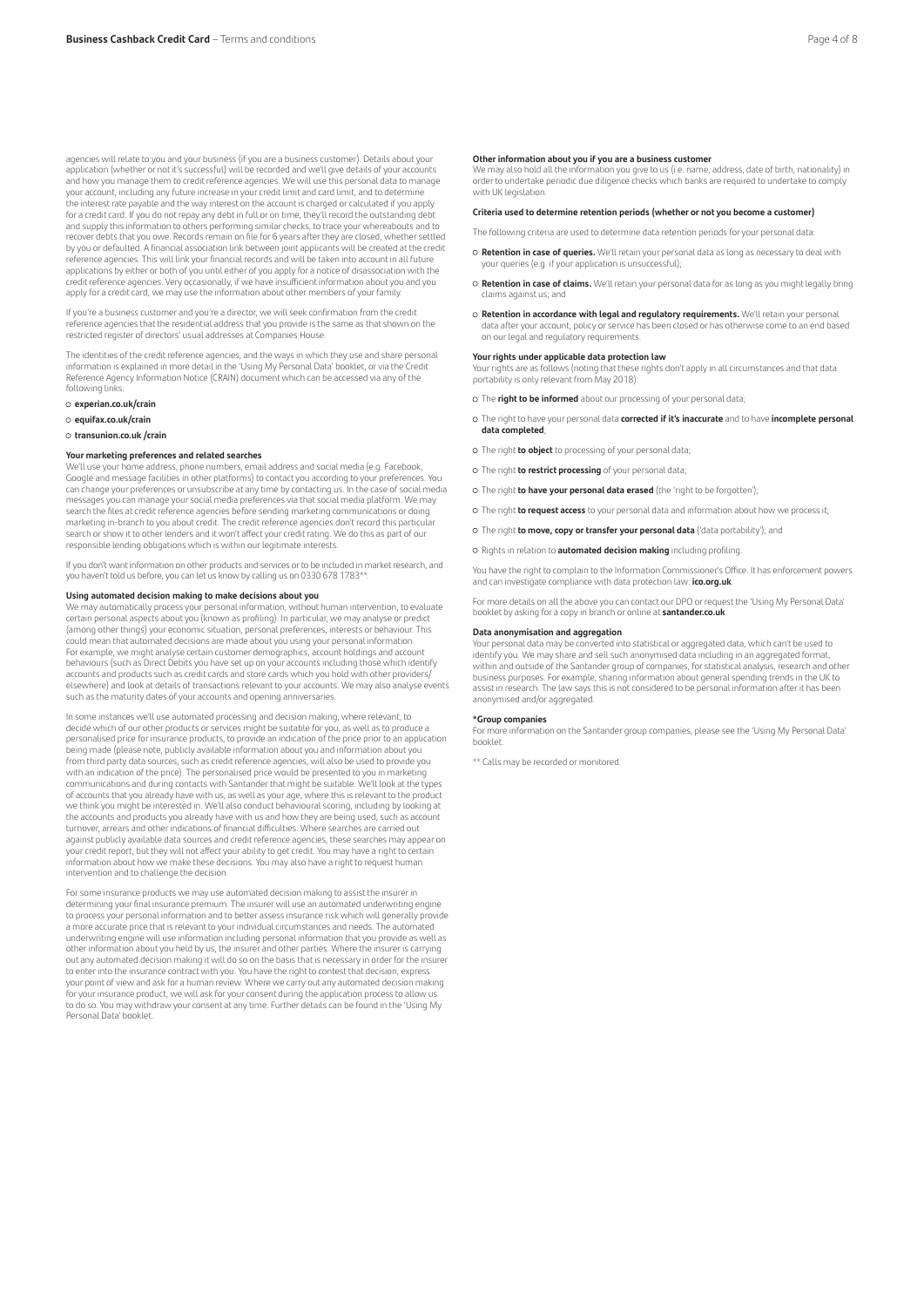agencies will relate to you and your business (if you are a business customer). Details about your application (whether or not it's successful) will be recorded and we'll give details of your accounts and how you manage them to credit reference agencies. We will use this personal data to manage your account, including any future increase in your credit limit and card limit, and to determine the interest rate payable and the way interest on the account is charged or calculated if you apply for a credit card. If you do not repay any debt in full or on time, they'll record the outstanding debt and supply this information to others performing similar checks, to trace your whereabouts and to recover debts that you owe. Records remain on file for 6 years after they are closed, whether settled by you or defaulted. A financial association link between joint applicants will be created at the credit reference agencies. This will link your financial records and will be taken into account in all future applications by either or both of you until either of you apply for a notice of disassociation with the credit reference agencies. Very occasionally, if we have insufficient information about you and you apply for a credit card, we may use the information about other members of your family.

If you're a business customer and you're a director, we will seek confirmation from the credit reference agencies that the residential address that you provide is the same as that shown on the restricted register of directors' usual addresses at Companies House.

The identities of the credit reference agencies, and the ways in which they use and share personal information is explained in more detail in the 'Using My Personal Data' booklet, or via the Credit Reference Agency Information Notice (CRAIN) document which can be accessed via any of the following links:

- **experian.co.uk/crain**
- **equifax.co.uk/crain**

**transunion.co.uk /crain**

### **Your marketing preferences and related searches**

We'll use your home address, phone numbers, email address and social media (e.g. Facebook, Google and message facilities in other platforms) to contact you according to your preferences. You can change your preferences or unsubscribe at any time by contacting us. In the case of social media messages you can manage your social media preferences via that social media platform. We may search the files at credit reference agencies before sending marketing communications or doing marketing in-branch to you about credit. The credit reference agencies don't record this particular search or show it to other lenders and it won't affect your credit rating. We do this as part of our responsible lending obligations which is within our legitimate interests.

If you don't want information on other products and services or to be included in market research, and you haven't told us before, you can let us know by calling us on 0330 678 1783\*

### **Using automated decision making to make decisions about you**

We may automatically process your personal information, without human intervention, to evaluate certain personal aspects about you (known as profiling). In particular, we may analyse or predict (among other things) your economic situation, personal preferences, interests or behaviour. This could mean that automated decisions are made about you using your personal information. For example, we might analyse certain customer demographics, account holdings and account behaviours (such as Direct Debits you have set up on your accounts including those which identify accounts and products such as credit cards and store cards which you hold with other providers/ elsewhere) and look at details of transactions relevant to your accounts. We may also analyse events such as the maturity dates of your accounts and opening anniversaries.

In some instances we'll use automated processing and decision making, where relevant, to decide which of our other products or services might be suitable for you, as well as to produce a personalised price for insurance products, to provide an indication of the price prior to an application being made (please note, publicly available information about you and information about you from third party data sources, such as credit reference agencies, will also be used to provide you with an indication of the price). The personalised price would be presented to you in marketing communications and during contacts with Santander that might be suitable. We'll look at the types of accounts that you already have with us, as well as your age, where this is relevant to the product we think you might be interested in. We'll also conduct behavioural scoring, including by looking at the accounts and products you already have with us and how they are being used, such as account turnover, arrears and other indications of financial difficulties. Where searches are carried out against publicly available data sources and credit reference agencies, these searches may appear on<br>your credit report, but they will not affect your ability to get credit. You may have a right to certain information about how we make these decisions. You may also have a right to request human intervention and to challenge the decision.

For some insurance products we may use automated decision making to assist the insurer in determining your final insurance premium. The insurer will use an automated underwriting engine to process your personal information and to better assess insurance risk which will generally provide a more accurate price that is relevant to your individual circumstances and needs. The automated underwriting engine will use information including personal information that you provide as well as other information about you held by us, the insurer and other parties. Where the insurer is carrying out any automated decision making it will do so on the basis that is necessary in order for the insurer to enter into the insurance contract with you. You have the right to contest that decision, express your point of view and ask for a human review. Where we carry out any automated decision making for your insurance product, we will ask for your consent during the application process to allow us to do so. You may withdraw your consent at any time. Further details can be found in the 'Using My Personal Data' booklet.

### **Other information about you if you are a business customer**

We may also hold all the information you give to us (i.e. name, address, date of birth, nationality) in order to undertake periodic due diligence checks which banks are required to undertake to comply with UK legislation.

### **Criteria used to determine retention periods (whether or not you become a customer)**

The following criteria are used to determine data retention periods for your personal data:

- **Retention in case of queries.** We'll retain your personal data as long as necessary to deal with your queries (e.g. if your application is unsuccessful);
- **Retention in case of claims.** We'll retain your personal data for as long as you might legally bring claims against us; and
- **Retention in accordance with legal and regulatory requirements.** We'll retain your personal data after your account, policy or service has been closed or has otherwise come to an end based on our legal and regulatory requirements.

### **Your rights under applicable data protection law**

Your rights are as follows (noting that these rights don't apply in all circumstances and that data portability is only relevant from May 2018):

The **right to be informed** about our processing of your personal data;

- The right to have your personal data **corrected if it's inaccurate** and to have **incomplete personal data completed**;
- The right **to object** to processing of your personal data;
- The right **to restrict processing** of your personal data;
- The right **to have your personal data erased** (the 'right to be forgotten');
- The right **to request access** to your personal data and information about how we process it;
- The right **to move, copy or transfer your personal data** ('data portability'); and
- Rights in relation to **automated decision making** including profiling.

You have the right to complain to the Information Commissioner's Office. It has enforcement powers and can investigate compliance with data protection law: **ico.org.uk**.

For more details on all the above you can contact our DPO or request the 'Using My Personal Data' booklet by asking for a copy in branch or online at **santander.co.uk**.

### **Data anonymisation and aggregation**

Your personal data may be converted into statistical or aggregated data, which can't be used to identify you. We may share and sell such anonymised data including in an aggregated format, within and outside of the Santander group of companies, for statistical analysis, research and other business purposes. For example, sharing information about general spending trends in the UK to assist in research. The law says this is not considered to be personal information after it has been anonymised and/or aggregated.

### **\*Group companies**

For more information on the Santander group companies, please see the 'Using My Personal Data' booklet.

\*\* Calls may be recorded or monitored.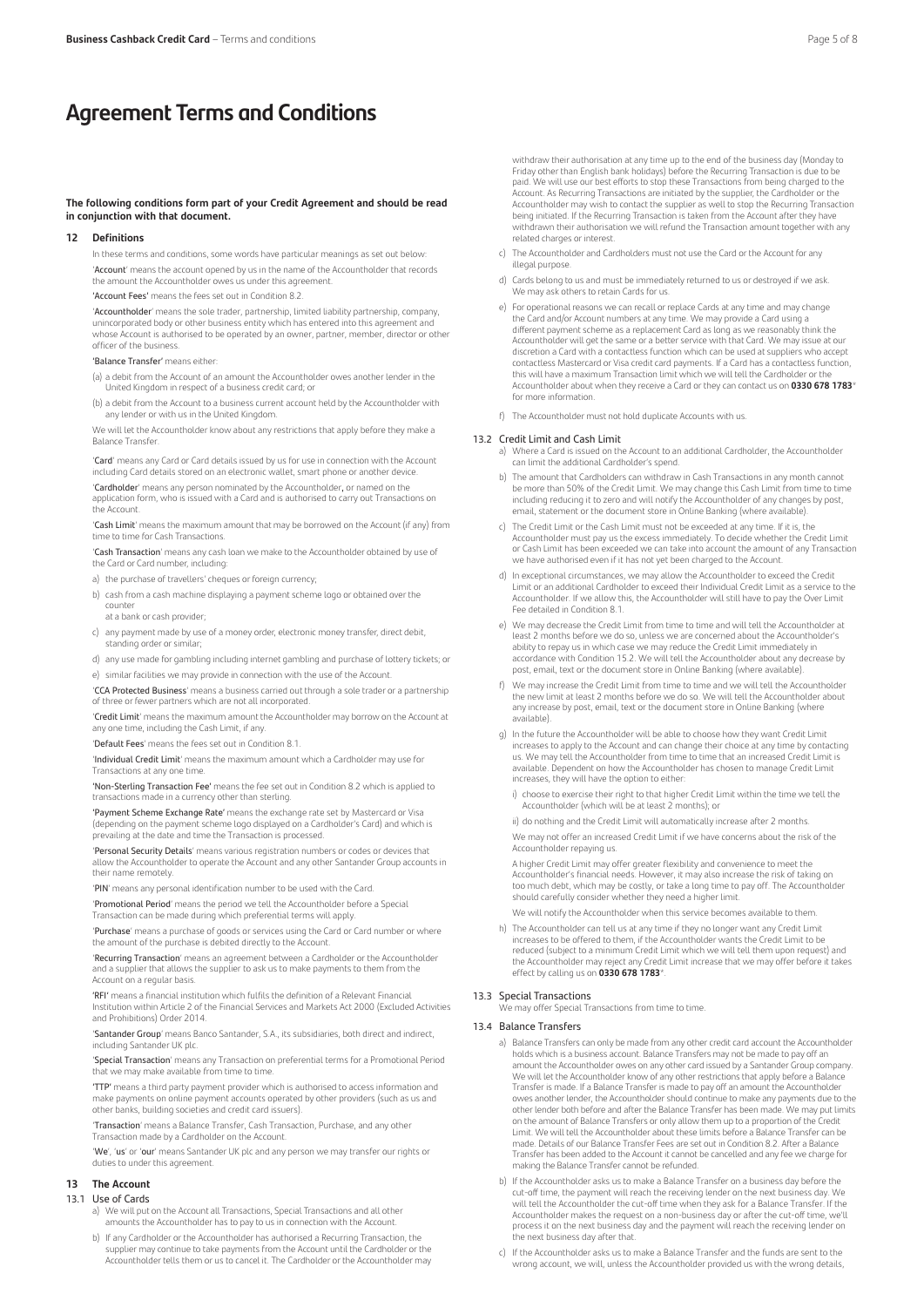### **Agreement Terms and Conditions**

### **The following conditions form part of your Credit Agreement and should be read in conjunction with that document.**

### **12 Definitions**

 In these terms and conditions, some words have particular meanings as set out below: 'Account' means the account opened by us in the name of the Accountholder that records

the amount the Accountholder owes us under this agreement.

'Account Fees' means the fees set out in Condition 8.2.

'**Accountholder'** means the sole trader, partnership, limited liability partnership, company,<br>unincorporated body or other business entity which has entered into this agreement and whose Account is authorised to be operated by an owner, partner, member, director or other officer of the business.

### 'Balance Transfer' means either:

- (a) a debit from the Account of an amount the Accountholder owes another lender in the United Kingdom in respect of a business credit card; or
- (b) a debit from the Account to a business current account held by the Accountholder with any lender or with us in the United Kingdom.

 We will let the Accountholder know about any restrictions that apply before they make a Balance Transfer.

 'Card' means any Card or Card details issued by us for use in connection with the Account including Card details stored on an electronic wallet, smart phone or another device.

 'Cardholder' means any person nominated by the Accountholder, or named on the application form, who is issued with a Card and is authorised to carry out Transactions on the Account.

 'Cash Limit' means the maximum amount that may be borrowed on the Account (if any) from time to time for Cash Transactions.

 'Cash Transaction' means any cash loan we make to the Accountholder obtained by use of the Card or Card number, including:

a) the purchase of travellers' cheques or foreign currency;

- b) cash from a cash machine displaying a payment scheme logo or obtained over the counter
- at a bank or cash provider;
- c) any payment made by use of a money order, electronic money transfer, direct debit, standing order or similar;
- d) any use made for gambling including internet gambling and purchase of lottery tickets; or
- e) similar facilities we may provide in connection with the use of the Account.

 'CCA Protected Business' means a business carried out through a sole trader or a partnership of three or fewer partners which are not all incorporated.

 'Credit Limit' means the maximum amount the Accountholder may borrow on the Account at any one time, including the Cash Limit, if any.

'Default Fees' means the fees set out in Condition 8.1.

 'Individual Credit Limit' means the maximum amount which a Cardholder may use for Transactions at any one time.

 'Non-Sterling Transaction Fee' means the fee set out in Condition 8.2 which is applied to transactions made in a currency other than sterling.

'Payment Scheme Exchange Rate' means the exchange rate set by Mastercard or Visa (depending on the payment scheme logo displayed on a Cardholder's Card) and which is prevailing at the date and time the Transaction is processed.

 'Personal Security Details' means various registration numbers or codes or devices that allow the Accountholder to operate the Account and any other Santander Group accounts in their name remotely.

'PIN' means any personal identification number to be used with the Card.

 'Promotional Period' means the period we tell the Accountholder before a Special Transaction can be made during which preferential terms will apply.

 'Purchase' means a purchase of goods or services using the Card or Card number or where the amount of the purchase is debited directly to the Account.

 'Recurring Transaction' means an agreement between a Cardholder or the Accountholder and a supplier that allows the supplier to ask us to make payments to them from the Account on a regular basis.

'RFI' means a financial institution which fulfils the definition of a Relevant Financial Institution within Article 2 of the Financial Services and Markets Act 2000 (Excluded Activities and Prohibitions) Order 2014.

 'Santander Group' means Banco Santander, S.A., its subsidiaries, both direct and indirect, including Santander UK plc.

 'Special Transaction' means any Transaction on preferential terms for a Promotional Period that we may make available from time to time.

 'TTP' means a third party payment provider which is authorised to access information and make payments on online payment accounts operated by other providers (such as us and other banks, building societies and credit card issuers).

 'Transaction' means a Balance Transfer, Cash Transaction, Purchase, and any other Transaction made by a Cardholder on the Account.

'We', 'us' or 'our' means Santander UK plc and any person we may transfer our rights or duties to under this agreement.

### **13 The Account**

### 13.1 Use of Cards

- a) We will put on the Account all Transactions, Special Transactions and all other amounts the Accountholder has to pay to us in connection with the Account.
- b) If any Cardholder or the Accountholder has authorised a Recurring Transaction, the supplier may continue to take payments from the Account until the Cardholder or the Accountholder tells them or us to cancel it. The Cardholder or the Accountholder may

withdraw their authorisation at any time up to the end of the business day (Monday to Friday other than English bank holidays) before the Recurring Transaction is due to be paid. We will use our best efforts to stop these Transactions from being charged to the Account. As Recurring Transactions are initiated by the supplier, the Cardholder or the Accountholder may wish to contact the supplier as well to stop the Recurring Transaction being initiated. If the Recurring Transaction is taken from the Account after they have being initiated. If the necessing indipated in a tentant the necessite area they have withdrawn their authorisation we will refund the Transaction amount together with any related charges or interest.

- c) The Accountholder and Cardholders must not use the Card or the Account for any illegal purpose.
- d) Cards belong to us and must be immediately returned to us or destroyed if we ask. We may ask others to retain Cards for us.
- e) For operational reasons we can recall or replace Cards at any time and may change the Card and/or Account numbers at any time. We may provide a Card using a different payment scheme as a replacement Card as long as we reasonably think the Accountholder will get the same or a better service with that Card. We may issue at our discretion a Card with a contactless function which can be used at suppliers who accept<br>contactless Mastercard or Visa credit card payments. If a Card has a contactless function,<br>this will have a maximum Transaction limit Accountholder about when they receive a Card or they can contact us on **0330 678 1783**\* for more information.
- f) The Accountholder must not hold duplicate Accounts with us.

### 13.2 Credit Limit and Cash Limit

- a) Where a Card is issued on the Account to an additional Cardholder, the Accountholder can limit the additional Cardholder's spend.
- b) The amount that Cardholders can withdraw in Cash Transactions in any month cannot be more than 50% of the Credit Limit. We may change this Cash Limit from time to time including reducing it to zero and will notify the Accountholder of any changes by post, email, statement or the document store in Online Banking (where available).
- c) The Credit Limit or the Cash Limit must not be exceeded at any time. If it is, the Accountholder must pay us the excess immediately. To decide whether the Credit Limit or Cash Limit has been exceeded we can take into account the amount of any Transaction we have authorised even if it has not yet been charged to the Account.
- d) In exceptional circumstances, we may allow the Accountholder to exceed the Credit Limit or an additional Cardholder to exceed their Individual Credit Limit as a service to the Accountholder. If we allow this, the Accountholder will still have to pay the Over Limit Fee detailed in Condition 8.1.
- e) We may decrease the Credit Limit from time to time and will tell the Accountholder at least 2 months before we do so, unless we are concerned about the Accountholder's ability to repay us in which case we may reduce the Credit Limit immediately in accordance with Condition 15.2. We will tell the Accountholder about any decrease by post, email, text or the document store in Online Banking (where available).
- f) We may increase the Credit Limit from time to time and we will tell the Accountholder the new limit at least 2 months before we do so. We will tell the Accountholder about any increase by post, email, text or the document store in Online Banking (where available).
- g) In the future the Accountholder will be able to choose how they want Credit Limit increases to apply to the Account and can change their choice at any time by contacting us. We may tell the Accountholder from time to time that an increased Credit Limit is available. Dependent on how the Accountholder has chosen to manage Credit Limit increases, they will have the option to either:
	- i) choose to exercise their right to that higher Credit Limit within the time we tell the Accountholder (which will be at least 2 months); or

ii) do nothing and the Credit Limit will automatically increase after 2 months.

 We may not offer an increased Credit Limit if we have concerns about the risk of the Accountholder repaying us.

 A higher Credit Limit may offer greater flexibility and convenience to meet the Accountholder's financial needs. However, it may also increase the risk of taking on too much debt, which may be costly, or take a long time to pay off. The Accountholder should carefully consider whether they need a higher limit.

- We will notify the Accountholder when this service becomes available to them.
- h) The Accountholder can tell us at any time if they no longer want any Credit Limit increases to be offered to them, if the Accountholder wants the Credit Limit to be reduced (subject to a minimum Credit Limit which we will tell them upon request) and the Accountholder may reject any Credit Limit increase that we may offer before it takes effect by calling us on **0330 678 1783**\*.

### 13.3 Special Transactions

We may offer Special Transactions from time to time.

### 13.4 Balance Transfers

- a) Balance Transfers can only be made from any other credit card account the Accountholder holds which is a business account. Balance Transfers may not be made to pay off an amount the Accountholder owes on any other card issued by a Santander Group company. We will let the Accountholder know of any other restrictions that apply before a Balance Transfer is made. If a Balance Transfer is made to pay off an amount the Accountholder owes another lender, the Accountholder should continue to make any payments due to the other lender both before and after the Balance Transfer has been made. We may put limits on the amount of Balance Transfers or only allow them up to a proportion of the Credit Limit. We will tell the Accountholder about these limits before a Balance Transfer can be made. Details of our Balance Transfer Fees are set out in Condition 8.2. After a Balance Transfer has been added to the Account it cannot be cancelled and any fee we charge for making the Balance Transfer cannot be refunded.
- b) If the Accountholder asks us to make a Balance Transfer on a business day before the cut-off time, the payment will reach the receiving lender on the next business day. We will tell the Accountholder the cut-off time when they ask for a Balance Transfer. If the Accountholder makes the request on a non-business day or after the cut-off time, we'll process it on the next business day and the payment will reach the receiving lender on the next business day after that.
- c) If the Accountholder asks us to make a Balance Transfer and the funds are sent to the wrong account, we will, unless the Accountholder provided us with the wrong details,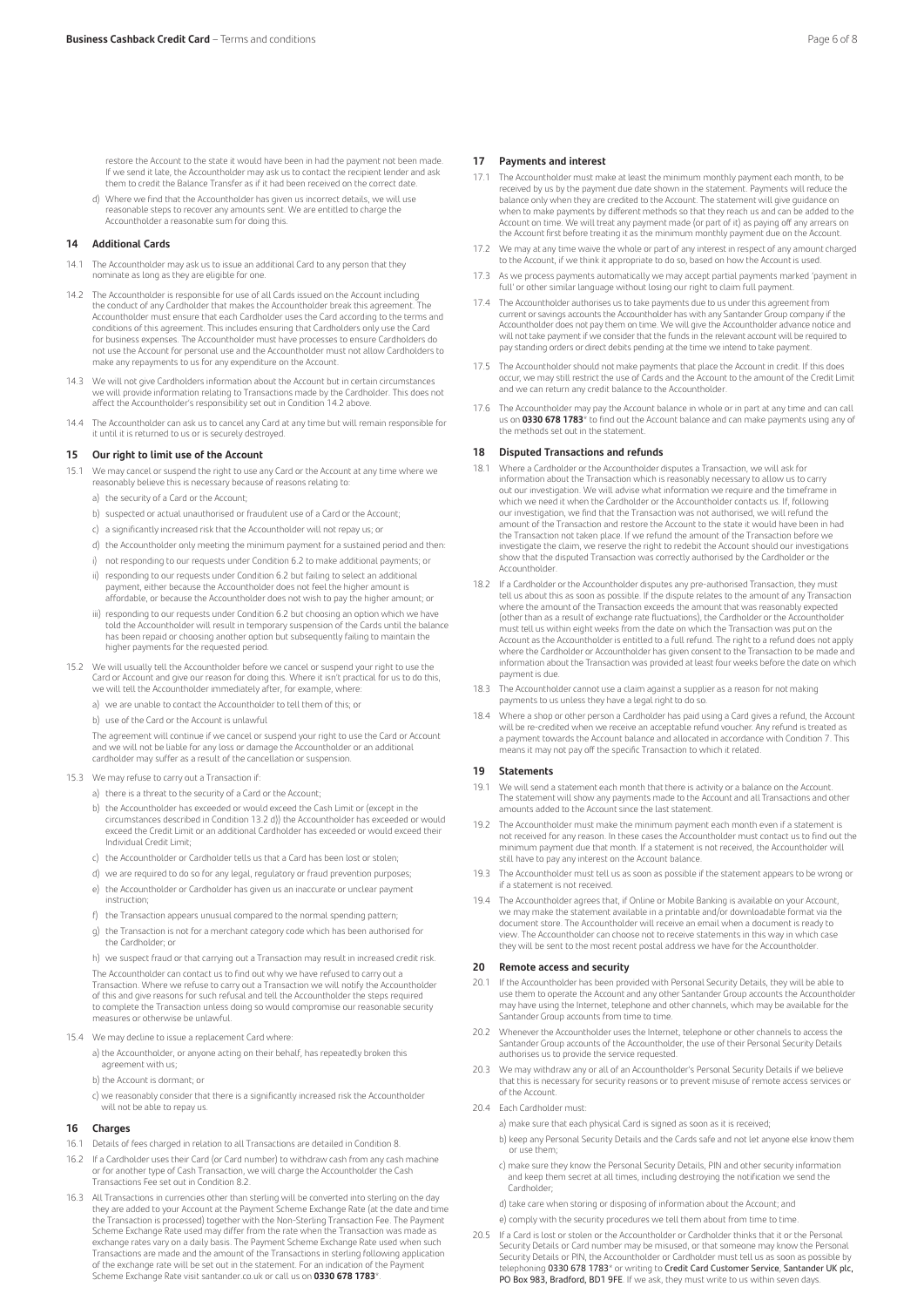restore the Account to the state it would have been in had the payment not been made. If we send it late, the Accountholder may ask us to contact the recipient lender and ask them to credit the Balance Transfer as if it had been received on the correct date.

d) Where we find that the Accountholder has given us incorrect details, we will use reasonable steps to recover any amounts sent. We are entitled to charge the Accountholder a reasonable sum for doing this.

### **14 Additional Cards**

- 14.1 The Accountholder may ask us to issue an additional Card to any person that they nominate as long as they are eligible for one.
- 14.2 The Accountholder is responsible for use of all Cards issued on the Account including the conduct of any Cardholder that makes the Accountholder break this agreement. The Accountholder must ensure that each Cardholder uses the Card according to the terms and conditions of this agreement. This includes ensuring that Cardholders only use the Card for business expenses. The Accountholder must have processes to ensure Cardholders do not use the Account for personal use and the Accountholder must not allow Cardholders to make any repayments to us for any expenditure on the Account.
- 14.3 We will not give Cardholders information about the Account but in certain circumstances we will provide information relating to Transactions made by the Cardholder. This does not affect the Accountholder's responsibility set out in Condition 14.2 above.
- 14.4 The Accountholder can ask us to cancel any Card at any time but will remain responsible for t until it is returned to us or is securely destroyed.

### **15 Our right to limit use of the Account**

- 15.1 We may cancel or suspend the right to use any Card or the Account at any time where we reasonably believe this is necessary because of reasons relating to:
	- a) the security of a Card or the Account;
	- b) suspected or actual unauthorised or fraudulent use of a Card or the Account;
	- c) a significantly increased risk that the Accountholder will not repay us; or
	- d) the Accountholder only meeting the minimum payment for a sustained period and then:
	- i) not responding to our requests under Condition 6.2 to make additional payments; or
	- ii) responding to our requests under Condition 6.2 but failing to select an additional payment, either because the Accountholder does not feel the higher amount is affordable, or because the Accountholder does not wish to pay the higher amount; or
	- iii) responding to our requests under Condition 6.2 but choosing an option which we have told the Accountholder will result in temporary suspension of the Cards until the balance has been repaid or choosing another option but subsequently failing to maintain the higher payments for the requested period.
- 15.2 We will usually tell the Accountholder before we cancel or suspend your right to use the Card or Account and give our reason for doing this. Where it isn't practical for us to do this, we will tell the Accountholder immediately after, for example, where:
	- a) we are unable to contact the Accountholder to tell them of this; or
	- b) use of the Card or the Account is unlawful

The agreement will continue if we cancel or suspend your right to use the Card or Account and we will not be liable for any loss or damage the Accountholder or an additional cardholder may suffer as a result of the cancellation or suspension.

- 15.3 We may refuse to carry out a Transaction if:
	- a) there is a threat to the security of a Card or the Account;
- b) the Accountholder has exceeded or would exceed the Cash Limit or (except in the circumstances described in Condition 13.2 d)) the Accountholder has exceeded or would exceed the Credit Limit or an additional Cardholder has exceeded or would exceed their Individual Credit Limit;
	- c) the Accountholder or Cardholder tells us that a Card has been lost or stolen;
	- d) we are required to do so for any legal, regulatory or fraud prevention purposes;
	- e) the Accountholder or Cardholder has given us an inaccurate or unclear payment instruction;
	- f) the Transaction appears unusual compared to the normal spending pattern;
	- g) the Transaction is not for a merchant category code which has been authorised for the Cardholder; or

h) we suspect fraud or that carrying out a Transaction may result in increased credit risk. The Accountholder can contact us to find out why we have refused to carry out a Transaction. Where we refuse to carry out a Transaction we will notify the Accountholder of this and give reasons for such refusal and tell the Accountholder the steps required to complete the Transaction unless doing so would compromise our reasonable security measures or otherwise be unlawful.

15.4 We may decline to issue a replacement Card where:

a) the Accountholder, or anyone acting on their behalf, has repeatedly broken this agreement with us;

- b) the Account is dormant; or
- c) we reasonably consider that there is a significantly increased risk the Accountholder will not be able to repay us.

### **16 Charges**

- 16.1 Details of fees charged in relation to all Transactions are detailed in Condition 8.
- 16.2 If a Cardholder uses their Card (or Card number) to withdraw cash from any cash machine or for another type of Cash Transaction, we will charge the Accountholder the Cash Transactions Fee set out in Condition 8.2.
- All Transactions in currencies other than sterling will be converted into sterling on the day they are added to your Account at the Payment Scheme Exchange Rate (at the date and time the Transaction is processed) together with the Non-Sterling Transaction Fee. The Payment Scheme Exchange Rate used may differ from the rate when the Transaction was made as exchange rates vary on a daily basis. The Payment Scheme Exchange Rate used when such Transactions are made and the amount of the Transactions in sterling following application of the exchange rate will be set out in the statement. For an indication of the Payment Scheme Exchange Rate visit santander.co.uk or call us on **0330 678 1783**\*.

### **17 Payments and interest**

- 17.1 The Accountholder must make at least the minimum monthly payment each month, to be received by us by the payment due date shown in the statement. Payments will reduce the balance only when they are credited to the Account. The statement will give guidance on when to make payments by different methods so that they reach us and can be added to the Account on time. We will treat any payment made (or part of it) as paying off any arrears on the Account first before treating it as the minimum monthly payment due on the Account.
- 17.2 We may at any time waive the whole or part of any interest in respect of any amount charged to the Account, if we think it appropriate to do so, based on how the Account is used
- 17.3 As we process payments automatically we may accept partial payments marked 'payment in full' or other similar language without losing our right to claim full payment.
- 17.4 The Accountholder authorises us to take payments due to us under this agreement from current or savings accounts the Accountholder has with any Santander Group company if the Accountholder does not pay them on time. We will give the Accountholder advance notice and will not take payment if we consider that the funds in the relevant account will be required to pay standing orders or direct debits pending at the time we intend to take payment.
- 17.5 The Accountholder should not make payments that place the Account in credit. If this does occur, we may still restrict the use of Cards and the Account to the amount of the Credit Limit and we can return any credit balance to the Accountholder.
- 17.6 The Accountholder may pay the Account balance in whole or in part at any time and can call us on **0330 678 1783**\* to find out the Account balance and can make payments using any of the methods set out in the statement.

### **18 Disputed Transactions and refunds**

- 18.1 Where a Cardholder or the Accountholder disputes a Transaction, we will ask for information about the Transaction which is reasonably necessary to allow us to carry out our investigation. We will advise what information we require and the timeframe in which we need it when the Cardholder or the Accountholder contacts us. If, following our investigation, we find that the Transaction was not authorised, we will refund the amount of the Transaction and restore the Account to the state it would have been in had the Transaction not taken place. If we refund the amount of the Transaction before we investigate the claim, we reserve the right to redebit the Account should our investigations show that the disputed Transaction was correctly authorised by the Cardholder or the Accountholder.
- 18.2 If a Cardholder or the Accountholder disputes any pre-authorised Transaction, they must tell us about this as soon as possible. If the dispute relates to the amount of any Transaction where the amount of the Transaction exceeds the amount that was reasonably expected (other than as a result of exchange rate fluctuations), the Cardholder or the Accountholder must tell us within eight weeks from the date on which the Transaction was put on the Account as the Accountholder is entitled to a full refund. The right to a refund does not apply where the Cardholder or Accountholder has given consent to the Transaction to be made and information about the Transaction was provided at least four weeks before the date on which payment is due.
- 18.3 The Accountholder cannot use a claim against a supplier as a reason for not making payments to us unless they have a legal right to do so.
- 18.4 Where a shop or other person a Cardholder has paid using a Card gives a refund, the Account will be re-credited when we receive an acceptable refund voucher. Any refund is treated as a payment towards the Account balance and allocated in accordance with Condition 7. This means it may not pay off the specific Transaction to which it related.

### **19 Statements**

- 19.1 We will send a statement each month that there is activity or a balance on the Account. The statement will show any payments made to the Account and all Transactions and other amounts added to the Account since the last statement.
- 19.2 The Accountholder must make the minimum payment each month even if a statement is not received for any reason. In these cases the Accountholder must contact us to find out the minimum payment due that month. If a statement is not received, the Accountholder will still have to pay any interest on the Account balance.
- 19.3 The Accountholder must tell us as soon as possible if the statement appears to be wrong or if a statement is not received.
- 19.4 The Accountholder agrees that, if Online or Mobile Banking is available on your Account, we may make the statement available in a printable and/or downloadable format via the document store. The Accountholder will receive an email when a document is ready to view. The Accountholder can choose not to receive statements in this way in which case they will be sent to the most recent postal address we have for the Accountholder.

### **20 Remote access and security**

- 20.1 If the Accountholder has been provided with Personal Security Details, they will be able to In the Accountholder has been provided with rensoliat security becaus, they will be able to<br>use them to operate the Account and any other Santander Group accounts the Accountholder may have using the Internet, telephone and other channels, which may be available for the Santander Group accounts from time to time.
- 20.2 Whenever the Accountholder uses the Internet, telephone or other channels to access the Santander Group accounts of the Accountholder, the use of their Personal Security Details authorises us to provide the service requested.
- 20.3 We may withdraw any or all of an Accountholder's Personal Security Details if we believe that this is necessary for security reasons or to prevent misuse of remote access services or of the Account.
- 20.4 Each Cardholder must:

a) make sure that each physical Card is signed as soon as it is received;

- b) keep any Personal Security Details and the Cards safe and not let anyone else know them or use them;
- c) make sure they know the Personal Security Details, PIN and other security information and keep them secret at all times, including destroying the notification we send the Cardholder;

d) take care when storing or disposing of information about the Account; and

- e) comply with the security procedures we tell them about from time to time
- 20.5 If a Card is lost or stolen or the Accountholder or Cardholder thinks that it or the Personal Security Details or Card number may be misused, or that someone may know the Personal<br>Security Details or PIN, the Accountholder or Cardholder must tell us as soon as possible by<br>telephoning **0330 678 1783**\* or writing to PO Box 983, Bradford, BD1 9FE. If we ask, they must write to us within seven days.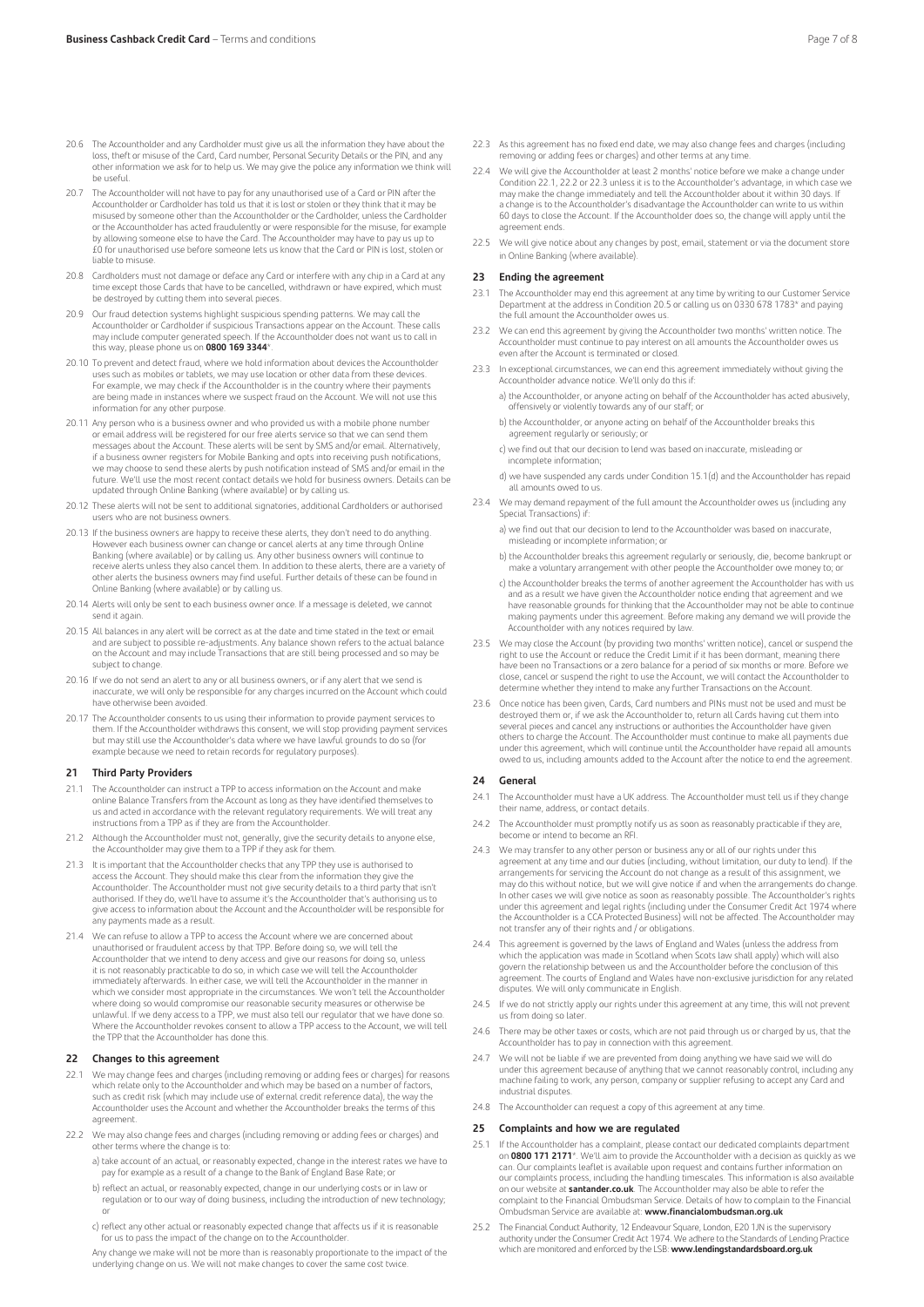- 20.6 The Accountholder and any Cardholder must give us all the information they have about the loss, theft or misuse of the Card, Card number, Personal Security Details or the PIN, and any other information we ask for to help us. We may give the police any information we think will be useful.
- 20.7 The Accountholder will not have to pay for any unauthorised use of a Card or PIN after the Accountholder or Cardholder has told us that it is lost or stolen or they think that it may be misused by someone other than the Accountholder or the Cardholder, unless the Cardholder or the Accountholder has acted fraudulently or were responsible for the misuse, for example by allowing someone else to have the Card. The Accountholder may have to pay us up to £0 for unauthorised use before someone lets us know that the Card or PIN is lost, stolen or liable to misuse.
- 20.8 Cardholders must not damage or deface any Card or interfere with any chip in a Card at any time except those Cards that have to be cancelled, withdrawn or have expired, which must be destroyed by cutting them into several pieces.
- 20.9 Our fraud detection systems highlight suspicious spending patterns. We may call the Accountholder or Cardholder if suspicious Transactions appear on the Account. These calls<br>may include computer generated speech. If the Accountholder does not want us to call in this way, please phone us on **0800 169 3344**\*.
- 20.10 To prevent and detect fraud, where we hold information about devices the Accountholder uses such as mobiles or tablets, we may use location or other data from these devices. For example, we may check if the Accountholder is in the country where their payments are being made in instances where we suspect fraud on the Account. We will not use this information for any other purpose.
- 20.11 Any person who is a business owner and who provided us with a mobile phone number mail address will be registered for our free alerts service so that we can send them messages about the Account. These alerts will be sent by SMS and/or email. Alternatively, if a business owner registers for Mobile Banking and opts into receiving push notifications,<br>we may choose to send these alerts by push notification instead of SMS and/or email in the future. We'll use the most recent contact details we hold for business owners. Details can be updated through Online Banking (where available) or by calling us.
- 20.12 These alerts will not be sent to additional signatories, additional Cardholders or authorised users who are not business owners.
- 20.13 If the business owners are happy to receive these alerts, they don't need to do anything. However each business owner can change or cancel alerts at any time through Online Banking (where available) or by calling us. Any other business owners will continue to receive alerts unless they also cancel them. In addition to these alerts, there are a variety of other alerts the business owners may find useful. Further details of these can be found in Online Banking (where available) or by calling us.
- 20.14 Alerts will only be sent to each business owner once. If a message is deleted, we cannot send it again.
- 20.15 All balances in any alert will be correct as at the date and time stated in the text or email and are subject to possible re-adjustments. Any balance shown refers to the actual balance on the Account and may include Transactions that are still being processed and so may be subject to change.
- 20.16 If we do not send an alert to any or all business owners, or if any alert that we send is inaccurate, we will only be responsible for any charges incurred on the Account which could have otherwise been avoided.
- 20.17 The Accountholder consents to us using their information to provide payment services to them. If the Accountholder withdraws this consent, we will stop providing payment services but may still use the Accountholder's data where we have lawful grounds to do so (for example because we need to retain records for regulatory purposes).

### **21 Third Party Providers**

- 21.1 The Accountholder can instruct a TPP to access information on the Account and make online Balance Transfers from the Account as long as they have identified themselves to us and acted in accordance with the relevant regulatory requirements. We will treat any instructions from a TPP as if they are from the Accountholder.
- 21.2 Although the Accountholder must not, generally, give the security details to anyone else, the Accountholder may give them to a TPP if they ask for them.
- 21.3 It is important that the Accountholder checks that any TPP they use is authorised to access the Account. They should make this clear from the information they give the Accountholder. The Accountholder must not give security details to a third party that isn't authorised. If they do, we'll have to assume it's the Accountholder that's authorising us to give access to information about the Account and the Accountholder will be responsible for any payments made as a result.
- 21.4 We can refuse to allow a TPP to access the Account where we are concerned about unauthorised or fraudulent access by that TPP. Before doing so, we will tell the Accountholder that we intend to deny access and give our reasons for doing so, unless it is not reasonably practicable to do so, in which case we will tell the Accountholder immediately afterwards. In either case, we will tell the Accountholder in the manner in which we consider most appropriate in the circumstances. We won't tell the Accountholder where doing so would compromise our reasonable security measures or otherwise be unlawful. If we deny access to a TPP, we must also tell our regulator that we have done so. Where the Accountholder revokes consent to allow a TPP access to the Account, we will tell the TPP that the Accountholder has done this.

### **22 Changes to this agreement**

- 22.1 We may change fees and charges (including removing or adding fees or charges) for reasons which relate only to the Accountholder and which may be based on a number of factors, such as credit risk (which may include use of external credit reference data), the way the Accountholder uses the Account and whether the Accountholder breaks the terms of this agreement.
- 22.2 We may also change fees and charges (including removing or adding fees or charges) and other terms where the change is to:
	- a) take account of an actual, or reasonably expected, change in the interest rates we have to pay for example as a result of a change to the Bank of England Base Rate; or
	- b) reflect an actual, or reasonably expected, change in our underlying costs or in law or regulation or to our way of doing business, including the introduction of new technology; or
	- c) reflect any other actual or reasonably expected change that affects us if it is reasonable for us to pass the impact of the change on to the Accountholder.

Any change we make will not be more than is reasonably proportionate to the impact of the underlying change on us. We will not make changes to cover the same cost twice.

- 22.3 As this agreement has no fixed end date, we may also change fees and charges (including removing or adding fees or charges) and other terms at any time.
- 22.4 We will give the Accountholder at least 2 months' notice before we make a change under Condition 22.1, 22.2 or 22.3 unless it is to the Accountholder's advantage, in which case we may make the change immediately and tell the Accountholder about it within 30 days. If a change is to the Accountholder's disadvantage the Accountholder can write to us within 60 days to close the Account. If the Accountholder does so, the change will apply until the agreement ends.
- 22.5 We will give notice about any changes by post, email, statement or via the document store in Online Banking (where available).

### **23 Ending the agreement**

- 23.1 The Accountholder may end this agreement at any time by writing to our Customer Service Department at the address in Condition 20.5 or calling us on 0330 678 1783\* and paying the full amount the Accountholder owes us.
- 23.2 We can end this agreement by giving the Accountholder two months' written notice. The Accountholder must continue to pay interest on all amounts the Accountholder owes us even after the Account is terminated or closed.
- 23.3 In exceptional circumstances, we can end this agreement immediately without giving the Accountholder advance notice. We'll only do this if:
	- a) the Accountholder, or anyone acting on behalf of the Accountholder has acted abusively, offensively or violently towards any of our staff; or
	- b) the Accountholder, or anyone acting on behalf of the Accountholder breaks this agreement regularly or seriously; or
	- c) we find out that our decision to lend was based on inaccurate, misleading or ncomplete information;
	- d) we have suspended any cards under Condition 15.1(d) and the Accountholder has repaid all amounts owed to us.
- 23.4 We may demand repayment of the full amount the Accountholder owes us (including any Special Transactions) if:
	- a) we find out that our decision to lend to the Accountholder was based on inaccurate, misleading or incomplete information; or
	- b) the Accountholder breaks this agreement regularly or seriously, die, become bankrupt or make a voluntary arrangement with other people the Accountholder owe money to; or
	- c) the Accountholder breaks the terms of another agreement the Accountholder has with us and as a result we have given the Accountholder notice ending that agreement and we have reasonable grounds for thinking that the Accountholder may not be able to continue making payments under this agreement. Before making any demand we will provide the Accountholder with any notices required by law.
- 23.5 We may close the Account (by providing two months' written notice), cancel or suspend the right to use the Account or reduce the Credit Limit if it has been dormant, meaning there have been no Transactions or a zero balance for a period of six months or more. Before we close, cancel or suspend the right to use the Account, we will contact the Accountholder to determine whether they intend to make any further Transactions on the Account.
- 23.6 Once notice has been given, Cards, Card numbers and PINs must not be used and must be destroyed them or, if we ask the Accountholder to, return all Cards having cut them into several pieces and cancel any instructions or authorities the Accountholder have given others to charge the Account. The Accountholder must continue to make all payments due under this agreement, which will continue until the Accountholder have repaid all amounts owed to us, including amounts added to the Account after the notice to end the agreement.

### **24 General**

- 24.1 The Accountholder must have a UK address. The Accountholder must tell us if they change their name, address, or contact details.
- 24.2 The Accountholder must promptly notify us as soon as reasonably practicable if they are, become or intend to become an RFI.
- 24.3 We may transfer to any other person or business any or all of our rights under this agreement at any time and our duties (including, without limitation, our duty to lend). If the arrangements for servicing the Account do not change as a result of this assignment, we may do this without notice, but we will give notice if and when the arrangements do change. In other cases we will give notice as soon as reasonably possible. The Accountholder's rights<br>under this agreement and legal rights (including under the Consumer Credit Act 1974 where<br>the Accountholder is a CCA Protected B not transfer any of their rights and / or obligations.
- 24.4 This agreement is governed by the laws of England and Wales (unless the address from which the application was made in Scotland when Scots law shall apply) which will also govern the relationship between us and the Accountholder before the conclusion of this agreement. The courts of England and Wales have non-exclusive jurisdiction for any related disputes. We will only communicate in English.
- 24.5 If we do not strictly apply our rights under this agreement at any time, this will not prevent us from doing so later.
- 24.6 There may be other taxes or costs, which are not paid through us or charged by us, that the Accountholder has to pay in connection with this agreement.
- 24.7 We will not be liable if we are prevented from doing anything we have said we will do under this agreement because of anything that we cannot reasonably control, including any machine failing to work, any person, company or supplier refusing to accept any Card and industrial disputes.
- 24.8 The Accountholder can request a copy of this agreement at any time.

### **25 Complaints and how we are regulated**

- 25.1 If the Accountholder has a complaint, please contact our dedicated complaints department on **0800 171 2171**\*. We'll aim to provide the Accountholder with a decision as quickly as we can. Our complaints leaflet is available upon request and contains further information or our complaints process, including the handling timescales. This information is also available on our website at **santander.co.uk**. The Accountholder may also be able to refer the complaint to the Financial Ombudsman Service. Details of how to complain to the Financial Ombudsman Service are available at: **www.financialombudsman.org.uk**
- 25.2 The Financial Conduct Authority, 12 Endeavour Square, London, E20 1JN is the supervisory authority under the Consumer Credit Act 1974. We adhere to the Standards of Lending Practice which are monitored and enforced by the LSB: **www.lendingstandardsboard.org.uk**